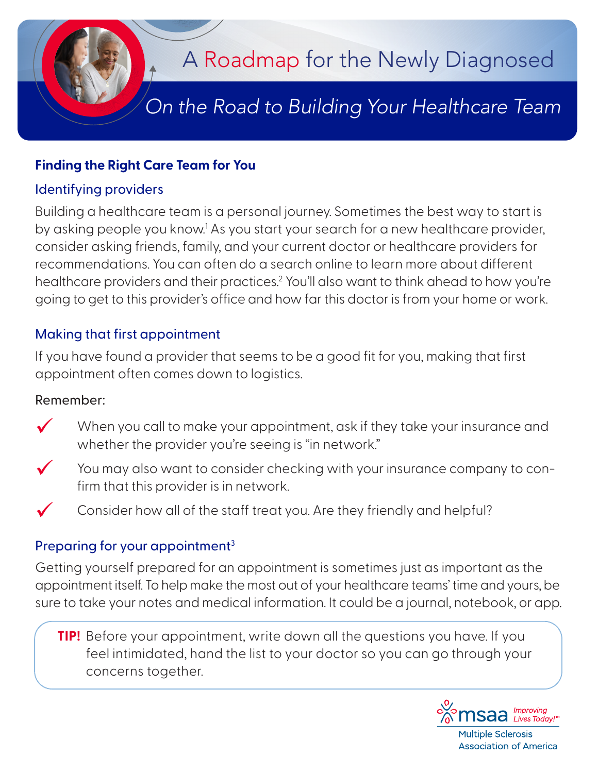

## **Finding the Right Care Team for You**

## Identifying providers

Building a healthcare team is a personal journey. Sometimes the best way to start is by asking people you know.<sup>1</sup> As you start your search for a new healthcare provider, consider asking friends, family, and your current doctor or healthcare providers for recommendations. You can often do a search online to learn more about different healthcare providers and their practices.<sup>2</sup> You'll also want to think ahead to how you're going to get to this provider's office and how far this doctor is from your home or work.

# Making that first appointment

If you have found a provider that seems to be a good fit for you, making that first appointment often comes down to logistics.

#### Remember:

- When you call to make your appointment, ask if they take your insurance and whether the provider you're seeing is "in network."
- $\checkmark$  You may also want to consider checking with your insurance company to confirm that this provider is in network.
	- Consider how all of the staff treat you. Are they friendly and helpful?

# Preparing for your appointment<sup>3</sup>

Getting yourself prepared for an appointment is sometimes just as important as the appointment itself. To help make the most out of your healthcare teams' time and yours, be sure to take your notes and medical information. It could be a journal, notebook, or app.

**TIP!** Before your appointment, write down all the questions you have. If you feel intimidated, hand the list to your doctor so you can go through your concerns together.



**Association of America**